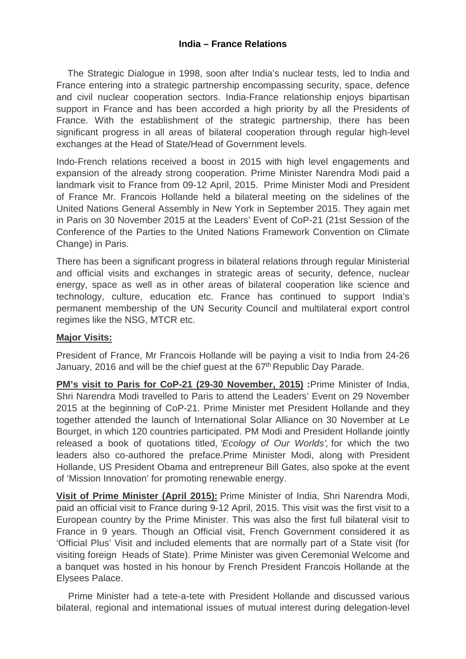# **India – France Relations**

 The Strategic Dialogue in 1998, soon after India's nuclear tests, led to India and France entering into a strategic partnership encompassing security, space, defence and civil nuclear cooperation sectors. India-France relationship enjoys bipartisan support in France and has been accorded a high priority by all the Presidents of France. With the establishment of the strategic partnership, there has been significant progress in all areas of bilateral cooperation through regular high-level exchanges at the Head of State/Head of Government levels.

Indo-French relations received a boost in 2015 with high level engagements and expansion of the already strong cooperation. Prime Minister Narendra Modi paid a landmark visit to France from 09-12 April, 2015. Prime Minister Modi and President of France Mr. Francois Hollande held a bilateral meeting on the sidelines of the United Nations General Assembly in New York in September 2015. They again met in Paris on 30 November 2015 at the Leaders' Event of CoP-21 (21st Session of the Conference of the Parties to the United Nations Framework Convention on Climate Change) in Paris.

There has been a significant progress in bilateral relations through regular Ministerial and official visits and exchanges in strategic areas of security, defence, nuclear energy, space as well as in other areas of bilateral cooperation like science and technology, culture, education etc. France has continued to support India's permanent membership of the UN Security Council and multilateral export control regimes like the NSG, MTCR etc.

### **Major Visits:**

President of France, Mr Francois Hollande will be paying a visit to India from 24-26 January, 2016 and will be the chief guest at the 67<sup>th</sup> Republic Day Parade.

**PM's visit to Paris for CoP-21 (29-30 November, 2015) :**Prime Minister of India, Shri Narendra Modi travelled to Paris to attend the Leaders' Event on 29 November 2015 at the beginning of CoP-21. Prime Minister met President Hollande and they together attended the launch of International Solar Alliance on 30 November at Le Bourget, in which 120 countries participated. PM Modi and President Hollande jointly released a book of quotations titled, *'Ecology of Our Worlds',* for which the two leaders also co-authored the preface.Prime Minister Modi, along with President Hollande, US President Obama and entrepreneur Bill Gates, also spoke at the event of 'Mission Innovation' for promoting renewable energy.

**Visit of Prime Minister (April 2015):** Prime Minister of India, Shri Narendra Modi, paid an official visit to France during 9-12 April, 2015. This visit was the first visit to a European country by the Prime Minister. This was also the first full bilateral visit to France in 9 years. Though an Official visit, French Government considered it as 'Official Plus' Visit and included elements that are normally part of a State visit (for visiting foreign Heads of State). Prime Minister was given Ceremonial Welcome and a banquet was hosted in his honour by French President Francois Hollande at the Elysees Palace.

 Prime Minister had a tete-a-tete with President Hollande and discussed various bilateral, regional and international issues of mutual interest during delegation-level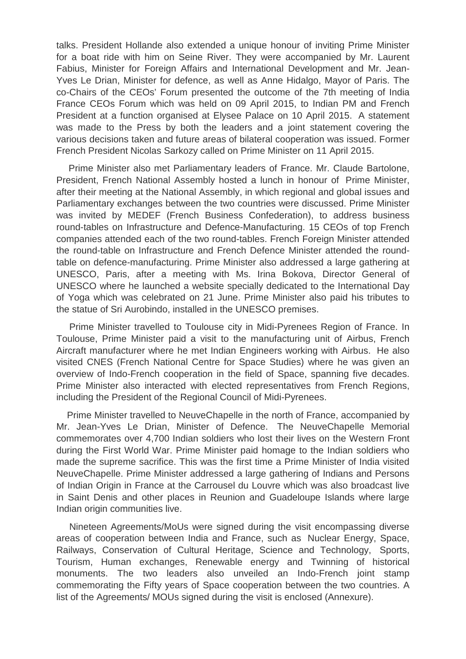talks. President Hollande also extended a unique honour of inviting Prime Minister for a boat ride with him on Seine River. They were accompanied by Mr. Laurent Fabius, Minister for Foreign Affairs and International Development and Mr. Jean-Yves Le Drian, Minister for defence, as well as Anne Hidalgo, Mayor of Paris. The co-Chairs of the CEOs' Forum presented the outcome of the 7th meeting of India France CEOs Forum which was held on 09 April 2015, to Indian PM and French President at a function organised at Elysee Palace on 10 April 2015. A statement was made to the Press by both the leaders and a joint statement covering the various decisions taken and future areas of bilateral cooperation was issued. Former French President Nicolas Sarkozy called on Prime Minister on 11 April 2015.

Prime Minister also met Parliamentary leaders of France. Mr. Claude Bartolone, President, French National Assembly hosted a lunch in honour of Prime Minister, after their meeting at the National Assembly, in which regional and global issues and Parliamentary exchanges between the two countries were discussed. Prime Minister was invited by MEDEF (French Business Confederation), to address business round-tables on Infrastructure and Defence-Manufacturing. 15 CEOs of top French companies attended each of the two round-tables. French Foreign Minister attended the round-table on Infrastructure and French Defence Minister attended the roundtable on defence-manufacturing. Prime Minister also addressed a large gathering at UNESCO, Paris, after a meeting with Ms. Irina Bokova, Director General of UNESCO where he launched a website specially dedicated to the International Day of Yoga which was celebrated on 21 June. Prime Minister also paid his tributes to the statue of Sri Aurobindo, installed in the UNESCO premises.

Prime Minister travelled to Toulouse city in Midi-Pyrenees Region of France. In Toulouse, Prime Minister paid a visit to the manufacturing unit of Airbus, French Aircraft manufacturer where he met Indian Engineers working with Airbus. He also visited CNES (French National Centre for Space Studies) where he was given an overview of Indo-French cooperation in the field of Space, spanning five decades. Prime Minister also interacted with elected representatives from French Regions, including the President of the Regional Council of Midi-Pyrenees.

Prime Minister travelled to NeuveChapelle in the north of France, accompanied by Mr. Jean-Yves Le Drian, Minister of Defence. The NeuveChapelle Memorial commemorates over 4,700 Indian soldiers who lost their lives on the Western Front during the First World War. Prime Minister paid homage to the Indian soldiers who made the supreme sacrifice. This was the first time a Prime Minister of India visited NeuveChapelle. Prime Minister addressed a large gathering of Indians and Persons of Indian Origin in France at the Carrousel du Louvre which was also broadcast live in Saint Denis and other places in Reunion and Guadeloupe Islands where large Indian origin communities live.

Nineteen Agreements/MoUs were signed during the visit encompassing diverse areas of cooperation between India and France, such as Nuclear Energy, Space, Railways, Conservation of Cultural Heritage, Science and Technology, Sports, Tourism, Human exchanges, Renewable energy and Twinning of historical monuments. The two leaders also unveiled an Indo-French joint stamp commemorating the Fifty years of Space cooperation between the two countries. A list of the Agreements/ MOUs signed during the visit is enclosed (Annexure).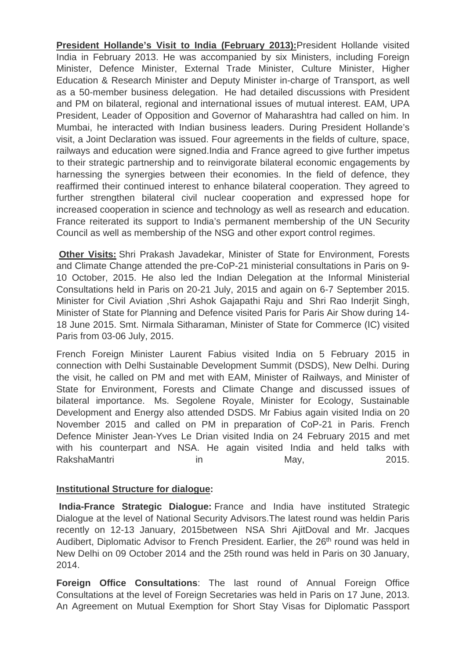**President Hollande's Visit to India (February 2013):**President Hollande visited India in February 2013. He was accompanied by six Ministers, including Foreign Minister, Defence Minister, External Trade Minister, Culture Minister, Higher Education & Research Minister and Deputy Minister in-charge of Transport, as well as a 50-member business delegation. He had detailed discussions with President and PM on bilateral, regional and international issues of mutual interest. EAM, UPA President, Leader of Opposition and Governor of Maharashtra had called on him. In Mumbai, he interacted with Indian business leaders. During President Hollande's visit, a Joint Declaration was issued. Four agreements in the fields of culture, space, railways and education were signed.India and France agreed to give further impetus to their strategic partnership and to reinvigorate bilateral economic engagements by harnessing the synergies between their economies. In the field of defence, they reaffirmed their continued interest to enhance bilateral cooperation. They agreed to further strengthen bilateral civil nuclear cooperation and expressed hope for increased cooperation in science and technology as well as research and education. France reiterated its support to India's permanent membership of the UN Security Council as well as membership of the NSG and other export control regimes.

**Other Visits:** Shri Prakash Javadekar, Minister of State for Environment, Forests and Climate Change attended the pre-CoP-21 ministerial consultations in Paris on 9- 10 October, 2015. He also led the Indian Delegation at the Informal Ministerial Consultations held in Paris on 20-21 July, 2015 and again on 6-7 September 2015. Minister for Civil Aviation ,Shri Ashok Gajapathi Raju and Shri Rao Inderjit Singh, Minister of State for Planning and Defence visited Paris for Paris Air Show during 14- 18 June 2015. Smt. Nirmala Sitharaman, Minister of State for Commerce (IC) visited Paris from 03-06 July, 2015.

French Foreign Minister Laurent Fabius visited India on 5 February 2015 in connection with Delhi Sustainable Development Summit (DSDS), New Delhi. During the visit, he called on PM and met with EAM, Minister of Railways, and Minister of State for Environment, Forests and Climate Change and discussed issues of bilateral importance. Ms. Segolene Royale, Minister for Ecology, Sustainable Development and Energy also attended DSDS. Mr Fabius again visited India on 20 November 2015 and called on PM in preparation of CoP-21 in Paris. French Defence Minister Jean-Yves Le Drian visited India on 24 February 2015 and met with his counterpart and NSA. He again visited India and held talks with RakshaMantri in in May, 2015.

# **Institutional Structure for dialogue:**

**India-France Strategic Dialogue:** France and India have instituted Strategic Dialogue at the level of National Security Advisors.The latest round was heldin Paris recently on 12-13 January, 2015between NSA Shri AjitDoval and Mr. Jacques Audibert, Diplomatic Advisor to French President. Earlier, the 26<sup>th</sup> round was held in New Delhi on 09 October 2014 and the 25th round was held in Paris on 30 January, 2014.

**Foreign Office Consultations**: The last round of Annual Foreign Office Consultations at the level of Foreign Secretaries was held in Paris on 17 June, 2013. An Agreement on Mutual Exemption for Short Stay Visas for Diplomatic Passport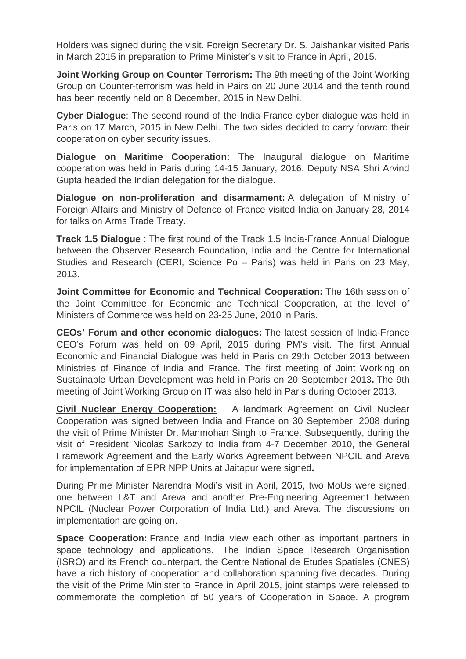Holders was signed during the visit. Foreign Secretary Dr. S. Jaishankar visited Paris in March 2015 in preparation to Prime Minister's visit to France in April, 2015.

**Joint Working Group on Counter Terrorism:** The 9th meeting of the Joint Working Group on Counter-terrorism was held in Pairs on 20 June 2014 and the tenth round has been recently held on 8 December, 2015 in New Delhi.

**Cyber Dialogue**: The second round of the India-France cyber dialogue was held in Paris on 17 March, 2015 in New Delhi. The two sides decided to carry forward their cooperation on cyber security issues.

**Dialogue on Maritime Cooperation:** The Inaugural dialogue on Maritime cooperation was held in Paris during 14-15 January, 2016. Deputy NSA Shri Arvind Gupta headed the Indian delegation for the dialogue.

**Dialogue on non-proliferation and disarmament:** A delegation of Ministry of Foreign Affairs and Ministry of Defence of France visited India on January 28, 2014 for talks on Arms Trade Treaty.

**Track 1.5 Dialogue** : The first round of the Track 1.5 India-France Annual Dialogue between the Observer Research Foundation, India and the Centre for International Studies and Research (CERI, Science Po – Paris) was held in Paris on 23 May, 2013.

**Joint Committee for Economic and Technical Cooperation:** The 16th session of the Joint Committee for Economic and Technical Cooperation, at the level of Ministers of Commerce was held on 23-25 June, 2010 in Paris.

**CEOs' Forum and other economic dialogues:** The latest session of India-France CEO's Forum was held on 09 April, 2015 during PM's visit. The first Annual Economic and Financial Dialogue was held in Paris on 29th October 2013 between Ministries of Finance of India and France. The first meeting of Joint Working on Sustainable Urban Development was held in Paris on 20 September 2013**.** The 9th meeting of Joint Working Group on IT was also held in Paris during October 2013.

**Civil Nuclear Energy Cooperation:** A landmark Agreement on Civil Nuclear Cooperation was signed between India and France on 30 September, 2008 during the visit of Prime Minister Dr. Manmohan Singh to France. Subsequently, during the visit of President Nicolas Sarkozy to India from 4-7 December 2010, the General Framework Agreement and the Early Works Agreement between NPCIL and Areva for implementation of EPR NPP Units at Jaitapur were signed**.**

During Prime Minister Narendra Modi's visit in April, 2015, two MoUs were signed, one between L&T and Areva and another Pre-Engineering Agreement between NPCIL (Nuclear Power Corporation of India Ltd.) and Areva. The discussions on implementation are going on.

**Space Cooperation:** France and India view each other as important partners in space technology and applications. The Indian Space Research Organisation (ISRO) and its French counterpart, the Centre National de Etudes Spatiales (CNES) have a rich history of cooperation and collaboration spanning five decades. During the visit of the Prime Minister to France in April 2015, joint stamps were released to commemorate the completion of 50 years of Cooperation in Space. A program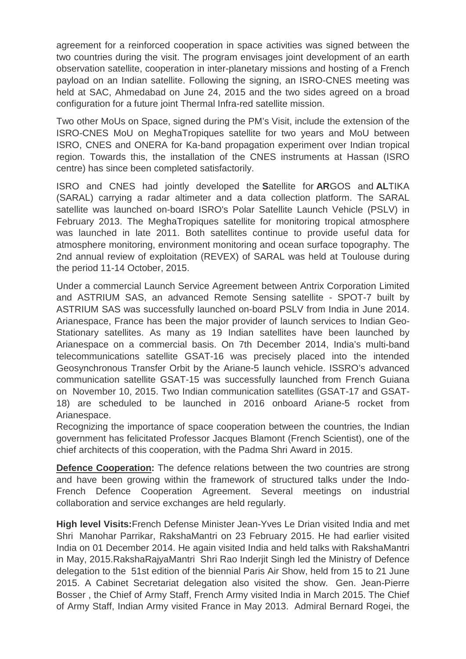agreement for a reinforced cooperation in space activities was signed between the two countries during the visit. The program envisages joint development of an earth observation satellite, cooperation in inter-planetary missions and hosting of a French payload on an Indian satellite. Following the signing, an ISRO-CNES meeting was held at SAC, Ahmedabad on June 24, 2015 and the two sides agreed on a broad configuration for a future joint Thermal Infra-red satellite mission.

Two other MoUs on Space, signed during the PM's Visit, include the extension of the ISRO-CNES MoU on MeghaTropiques satellite for two years and MoU between ISRO, CNES and ONERA for Ka-band propagation experiment over Indian tropical region. Towards this, the installation of the CNES instruments at Hassan (ISRO centre) has since been completed satisfactorily.

ISRO and CNES had jointly developed the **S**atellite for **AR**GOS and **AL**TIKA (SARAL) carrying a radar altimeter and a data collection platform. The SARAL satellite was launched on-board ISRO's Polar Satellite Launch Vehicle (PSLV) in February 2013. The MeghaTropiques satellite for monitoring tropical atmosphere was launched in late 2011. Both satellites continue to provide useful data for atmosphere monitoring, environment monitoring and ocean surface topography. The 2nd annual review of exploitation (REVEX) of SARAL was held at Toulouse during the period 11-14 October, 2015.

Under a commercial Launch Service Agreement between Antrix Corporation Limited and ASTRIUM SAS, an advanced Remote Sensing satellite - SPOT-7 built by ASTRIUM SAS was successfully launched on-board PSLV from India in June 2014. Arianespace, France has been the major provider of launch services to Indian Geo-Stationary satellites. As many as 19 Indian satellites have been launched by Arianespace on a commercial basis. On 7th December 2014, India's multi-band telecommunications satellite GSAT-16 was precisely placed into the intended Geosynchronous Transfer Orbit by the Ariane-5 launch vehicle. ISSRO's advanced communication satellite GSAT-15 was successfully launched from French Guiana on November 10, 2015. Two Indian communication satellites (GSAT-17 and GSAT-18) are scheduled to be launched in 2016 onboard Ariane-5 rocket from Arianespace.

Recognizing the importance of space cooperation between the countries, the Indian government has felicitated Professor Jacques Blamont (French Scientist), one of the chief architects of this cooperation, with the Padma Shri Award in 2015.

**Defence Cooperation:** The defence relations between the two countries are strong and have been growing within the framework of structured talks under the Indo-French Defence Cooperation Agreement. Several meetings on industrial collaboration and service exchanges are held regularly.

**High level Visits:**French Defense Minister Jean-Yves Le Drian visited India and met Shri Manohar Parrikar, RakshaMantri on 23 February 2015. He had earlier visited India on 01 December 2014. He again visited India and held talks with RakshaMantri in May, 2015.RakshaRajyaMantri Shri Rao Inderjit Singh led the Ministry of Defence delegation to the 51st edition of the biennial Paris Air Show, held from 15 to 21 June 2015. A Cabinet Secretariat delegation also visited the show. Gen. Jean-Pierre Bosser , the Chief of Army Staff, French Army visited India in March 2015. The Chief of Army Staff, Indian Army visited France in May 2013. Admiral Bernard Rogei, the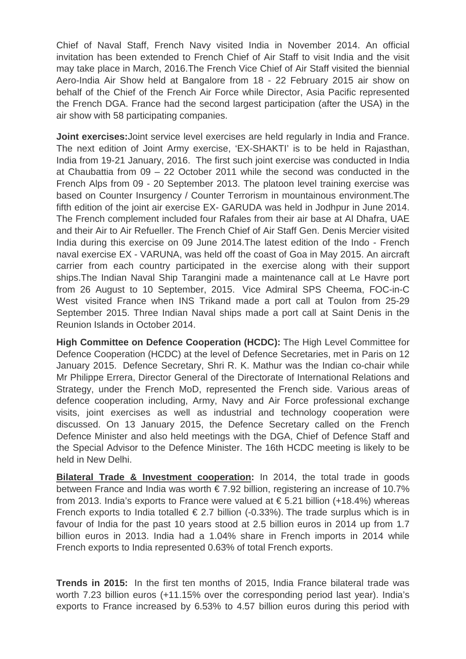Chief of Naval Staff, French Navy visited India in November 2014. An official invitation has been extended to French Chief of Air Staff to visit India and the visit may take place in March, 2016.The French Vice Chief of Air Staff visited the biennial Aero-India Air Show held at Bangalore from 18 - 22 February 2015 air show on behalf of the Chief of the French Air Force while Director, Asia Pacific represented the French DGA. France had the second largest participation (after the USA) in the air show with 58 participating companies.

**Joint exercises:**Joint service level exercises are held regularly in India and France. The next edition of Joint Army exercise, 'EX-SHAKTI' is to be held in Rajasthan, India from 19-21 January, 2016. The first such joint exercise was conducted in India at Chaubattia from 09 – 22 October 2011 while the second was conducted in the French Alps from 09 - 20 September 2013. The platoon level training exercise was based on Counter Insurgency / Counter Terrorism in mountainous environment.The fifth edition of the joint air exercise EX- GARUDA was held in Jodhpur in June 2014. The French complement included four Rafales from their air base at Al Dhafra, UAE and their Air to Air Refueller. The French Chief of Air Staff Gen. Denis Mercier visited India during this exercise on 09 June 2014.The latest edition of the Indo - French naval exercise EX - VARUNA, was held off the coast of Goa in May 2015. An aircraft carrier from each country participated in the exercise along with their support ships.The Indian Naval Ship Tarangini made a maintenance call at Le Havre port from 26 August to 10 September, 2015. Vice Admiral SPS Cheema, FOC-in-C West visited France when INS Trikand made a port call at Toulon from 25-29 September 2015. Three Indian Naval ships made a port call at Saint Denis in the Reunion Islands in October 2014.

**High Committee on Defence Cooperation (HCDC):** The High Level Committee for Defence Cooperation (HCDC) at the level of Defence Secretaries, met in Paris on 12 January 2015. Defence Secretary, Shri R. K. Mathur was the Indian co-chair while Mr Philippe Errera, Director General of the Directorate of International Relations and Strategy, under the French MoD, represented the French side. Various areas of defence cooperation including, Army, Navy and Air Force professional exchange visits, joint exercises as well as industrial and technology cooperation were discussed. On 13 January 2015, the Defence Secretary called on the French Defence Minister and also held meetings with the DGA, Chief of Defence Staff and the Special Advisor to the Defence Minister. The 16th HCDC meeting is likely to be held in New Delhi.

**Bilateral Trade & Investment cooperation:** In 2014, the total trade in goods between France and India was worth  $\epsilon$  7.92 billion, registering an increase of 10.7% from 2013. India's exports to France were valued at € 5.21 billion (+18.4%) whereas French exports to India totalled  $\in$  2.7 billion (-0.33%). The trade surplus which is in favour of India for the past 10 years stood at 2.5 billion euros in 2014 up from 1.7 billion euros in 2013. India had a 1.04% share in French imports in 2014 while French exports to India represented 0.63% of total French exports.

**Trends in 2015:** In the first ten months of 2015, India France bilateral trade was worth 7.23 billion euros (+11.15% over the corresponding period last year). India's exports to France increased by 6.53% to 4.57 billion euros during this period with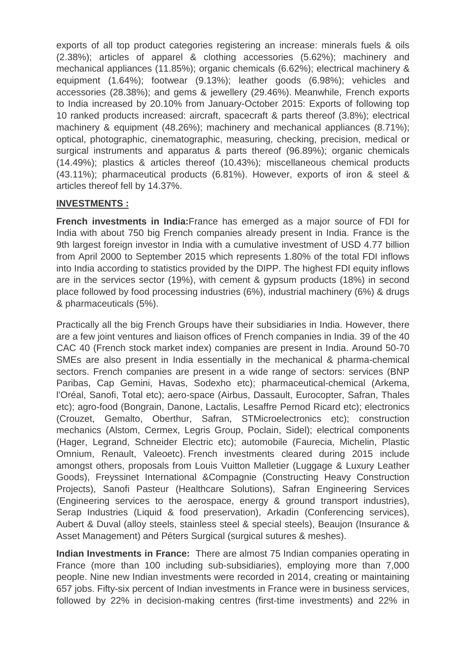exports of all top product categories registering an increase: minerals fuels & oils (2.38%); articles of apparel & clothing accessories (5.62%); machinery and mechanical appliances (11.85%); organic chemicals (6.62%); electrical machinery & equipment (1.64%); footwear (9.13%); leather goods (6.98%); vehicles and accessories (28.38%); and gems & jewellery (29.46%). Meanwhile, French exports to India increased by 20.10% from January-October 2015: Exports of following top 10 ranked products increased: aircraft, spacecraft & parts thereof (3.8%); electrical machinery & equipment (48.26%); machinery and mechanical appliances (8.71%); optical, photographic, cinematographic, measuring, checking, precision, medical or surgical instruments and apparatus & parts thereof (96.89%); organic chemicals (14.49%); plastics & articles thereof (10.43%); miscellaneous chemical products (43.11%); pharmaceutical products (6.81%). However, exports of iron & steel & articles thereof fell by 14.37%.

# **INVESTMENTS :**

**French investments in India:**France has emerged as a major source of FDI for India with about 750 big French companies already present in India. France is the 9th largest foreign investor in India with a cumulative investment of USD 4.77 billion from April 2000 to September 2015 which represents 1.80% of the total FDI inflows into India according to statistics provided by the DIPP. The highest FDI equity inflows are in the services sector (19%), with cement & gypsum products (18%) in second place followed by food processing industries (6%), industrial machinery (6%) & drugs & pharmaceuticals (5%).

Practically all the big French Groups have their subsidiaries in India. However, there are a few joint ventures and liaison offices of French companies in India. 39 of the 40 CAC 40 (French stock market index) companies are present in India. Around 50-70 SMEs are also present in India essentially in the mechanical & pharma-chemical sectors. French companies are present in a wide range of sectors: services (BNP Paribas, Cap Gemini, Havas, Sodexho etc); pharmaceutical-chemical (Arkema, l'Oréal, Sanofi, Total etc); aero-space (Airbus, Dassault, Eurocopter, Safran, Thales etc); agro-food (Bongrain, Danone, Lactalis, Lesaffre Pernod Ricard etc); electronics (Crouzet, Gemalto, Oberthur, Safran, STMicroelectronics etc); construction mechanics (Alstom, Cermex, Legris Group, Poclain, Sidel); electrical components (Hager, Legrand, Schneider Electric etc); automobile (Faurecia, Michelin, Plastic Omnium, Renault, Valeoetc). French investments cleared during 2015 include amongst others, proposals from Louis Vuitton Malletier (Luggage & Luxury Leather Goods), Freyssinet International &Compagnie (Constructing Heavy Construction Projects), Sanofi Pasteur (Healthcare Solutions), Safran Engineering Services (Engineering services to the aerospace, energy & ground transport industries), Serap Industries (Liquid & food preservation), Arkadin (Conferencing services), Aubert & Duval (alloy steels, stainless steel & special steels), Beaujon (Insurance & Asset Management) and Péters Surgical (surgical sutures & meshes).

**Indian Investments in France:** There are almost 75 Indian companies operating in France (more than 100 including sub-subsidiaries), employing more than 7,000 people. Nine new Indian investments were recorded in 2014, creating or maintaining 657 jobs. Fifty-six percent of Indian investments in France were in business services, followed by 22% in decision-making centres (first-time investments) and 22% in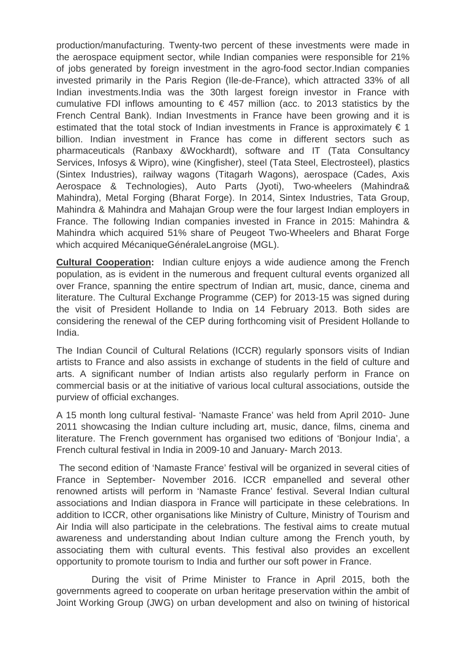production/manufacturing. Twenty-two percent of these investments were made in the aerospace equipment sector, while Indian companies were responsible for 21% of jobs generated by foreign investment in the agro-food sector.Indian companies invested primarily in the Paris Region (Ile-de-France), which attracted 33% of all Indian investments.India was the 30th largest foreign investor in France with cumulative FDI inflows amounting to  $\epsilon$  457 million (acc. to 2013 statistics by the French Central Bank). Indian Investments in France have been growing and it is estimated that the total stock of Indian investments in France is approximately  $\epsilon$  1 billion. Indian investment in France has come in different sectors such as pharmaceuticals (Ranbaxy &Wockhardt), software and IT (Tata Consultancy Services, Infosys & Wipro), wine (Kingfisher), steel (Tata Steel, Electrosteel), plastics (Sintex Industries), railway wagons (Titagarh Wagons), aerospace (Cades, Axis Aerospace & Technologies), Auto Parts (Jyoti), Two-wheelers (Mahindra& Mahindra), Metal Forging (Bharat Forge). In 2014, Sintex Industries, Tata Group, Mahindra & Mahindra and Mahajan Group were the four largest Indian employers in France. The following Indian companies invested in France in 2015: Mahindra & Mahindra which acquired 51% share of Peugeot Two-Wheelers and Bharat Forge which acquired MécaniqueGénéraleLangroise (MGL).

**Cultural Cooperation:** Indian culture enjoys a wide audience among the French population, as is evident in the numerous and frequent cultural events organized all over France, spanning the entire spectrum of Indian art, music, dance, cinema and literature. The Cultural Exchange Programme (CEP) for 2013-15 was signed during the visit of President Hollande to India on 14 February 2013. Both sides are considering the renewal of the CEP during forthcoming visit of President Hollande to India.

The Indian Council of Cultural Relations (ICCR) regularly sponsors visits of Indian artists to France and also assists in exchange of students in the field of culture and arts. A significant number of Indian artists also regularly perform in France on commercial basis or at the initiative of various local cultural associations, outside the purview of official exchanges.

A 15 month long cultural festival- 'Namaste France' was held from April 2010- June 2011 showcasing the Indian culture including art, music, dance, films, cinema and literature. The French government has organised two editions of 'Bonjour India', a French cultural festival in India in 2009-10 and January- March 2013.

The second edition of 'Namaste France' festival will be organized in several cities of France in September- November 2016. ICCR empanelled and several other renowned artists will perform in 'Namaste France' festival. Several Indian cultural associations and Indian diaspora in France will participate in these celebrations. In addition to ICCR, other organisations like Ministry of Culture, Ministry of Tourism and Air India will also participate in the celebrations. The festival aims to create mutual awareness and understanding about Indian culture among the French youth, by associating them with cultural events. This festival also provides an excellent opportunity to promote tourism to India and further our soft power in France.

 During the visit of Prime Minister to France in April 2015, both the governments agreed to cooperate on urban heritage preservation within the ambit of Joint Working Group (JWG) on urban development and also on twining of historical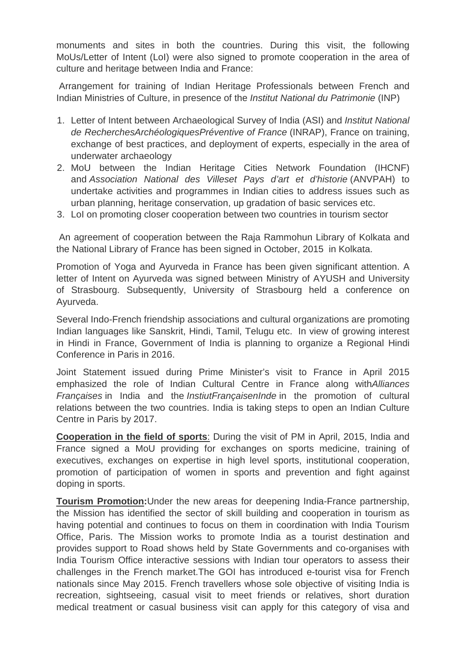monuments and sites in both the countries. During this visit, the following MoUs/Letter of Intent (LoI) were also signed to promote cooperation in the area of culture and heritage between India and France:

Arrangement for training of Indian Heritage Professionals between French and Indian Ministries of Culture, in presence of the *Institut National du Patrimonie* (INP)

- 1. Letter of Intent between Archaeological Survey of India (ASI) and *Institut National de RecherchesArchéologiquesPréventive of France* (INRAP), France on training, exchange of best practices, and deployment of experts, especially in the area of underwater archaeology
- 2. MoU between the Indian Heritage Cities Network Foundation (IHCNF) and *Association National des Villeset Pays d'art et d'historie* (ANVPAH) to undertake activities and programmes in Indian cities to address issues such as urban planning, heritage conservation, up gradation of basic services etc.
- 3. LoI on promoting closer cooperation between two countries in tourism sector

An agreement of cooperation between the Raja Rammohun Library of Kolkata and the National Library of France has been signed in October, 2015 in Kolkata.

Promotion of Yoga and Ayurveda in France has been given significant attention. A letter of Intent on Ayurveda was signed between Ministry of AYUSH and University of Strasbourg. Subsequently, University of Strasbourg held a conference on Ayurveda.

Several Indo-French friendship associations and cultural organizations are promoting Indian languages like Sanskrit, Hindi, Tamil, Telugu etc. In view of growing interest in Hindi in France, Government of India is planning to organize a Regional Hindi Conference in Paris in 2016.

Joint Statement issued during Prime Minister's visit to France in April 2015 emphasized the role of Indian Cultural Centre in France along with*Alliances Françaises* in India and the *InstiutFrançaisenInde* in the promotion of cultural relations between the two countries. India is taking steps to open an Indian Culture Centre in Paris by 2017.

**Cooperation in the field of sports**: During the visit of PM in April, 2015, India and France signed a MoU providing for exchanges on sports medicine, training of executives, exchanges on expertise in high level sports, institutional cooperation, promotion of participation of women in sports and prevention and fight against doping in sports.

**Tourism Promotion:**Under the new areas for deepening India-France partnership, the Mission has identified the sector of skill building and cooperation in tourism as having potential and continues to focus on them in coordination with India Tourism Office, Paris. The Mission works to promote India as a tourist destination and provides support to Road shows held by State Governments and co-organises with India Tourism Office interactive sessions with Indian tour operators to assess their challenges in the French market.The GOI has introduced e-tourist visa for French nationals since May 2015. French travellers whose sole objective of visiting India is recreation, sightseeing, casual visit to meet friends or relatives, short duration medical treatment or casual business visit can apply for this category of visa and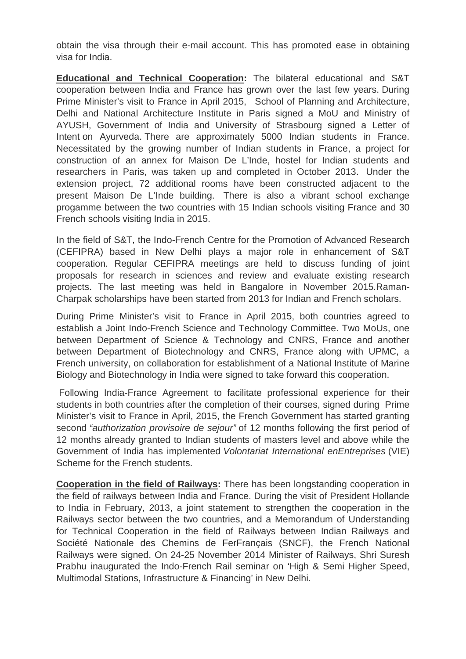obtain the visa through their e-mail account. This has promoted ease in obtaining visa for India.

**Educational and Technical Cooperation:** The bilateral educational and S&T cooperation between India and France has grown over the last few years. During Prime Minister's visit to France in April 2015, School of Planning and Architecture, Delhi and National Architecture Institute in Paris signed a MoU and Ministry of AYUSH, Government of India and University of Strasbourg signed a Letter of Intent on Ayurveda. There are approximately 5000 Indian students in France. Necessitated by the growing number of Indian students in France, a project for construction of an annex for Maison De L'Inde, hostel for Indian students and researchers in Paris, was taken up and completed in October 2013. Under the extension project, 72 additional rooms have been constructed adjacent to the present Maison De L'Inde building. There is also a vibrant school exchange progamme between the two countries with 15 Indian schools visiting France and 30 French schools visiting India in 2015.

In the field of S&T, the Indo-French Centre for the Promotion of Advanced Research (CEFIPRA) based in New Delhi plays a major role in enhancement of S&T cooperation. Regular CEFIPRA meetings are held to discuss funding of joint proposals for research in sciences and review and evaluate existing research projects. The last meeting was held in Bangalore in November 2015*.*Raman-Charpak scholarships have been started from 2013 for Indian and French scholars.

During Prime Minister's visit to France in April 2015, both countries agreed to establish a Joint Indo-French Science and Technology Committee. Two MoUs, one between Department of Science & Technology and CNRS, France and another between Department of Biotechnology and CNRS, France along with UPMC, a French university, on collaboration for establishment of a National Institute of Marine Biology and Biotechnology in India were signed to take forward this cooperation.

Following India-France Agreement to facilitate professional experience for their students in both countries after the completion of their courses, signed during Prime Minister's visit to France in April, 2015, the French Government has started granting second *"authorization provisoire de sejour"* of 12 months following the first period of 12 months already granted to Indian students of masters level and above while the Government of India has implemented *Volontariat International enEntreprises* (VIE) Scheme for the French students.

**Cooperation in the field of Railways:** There has been longstanding cooperation in the field of railways between India and France. During the visit of President Hollande to India in February, 2013, a joint statement to strengthen the cooperation in the Railways sector between the two countries, and a Memorandum of Understanding for Technical Cooperation in the field of Railways between Indian Railways and Société Nationale des Chemins de FerFrançais (SNCF), the French National Railways were signed. On 24-25 November 2014 Minister of Railways, Shri Suresh Prabhu inaugurated the Indo-French Rail seminar on 'High & Semi Higher Speed, Multimodal Stations, Infrastructure & Financing' in New Delhi.